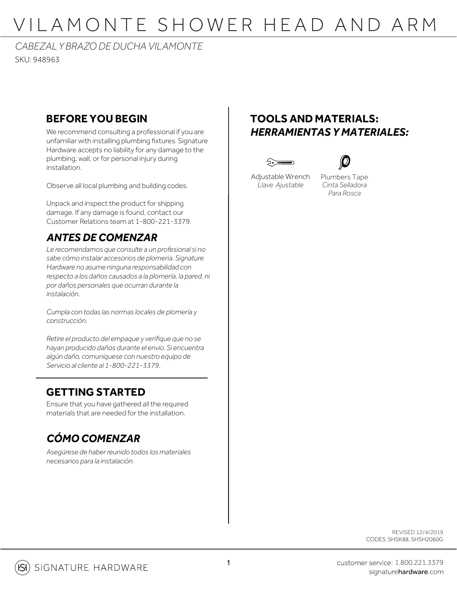# VILAMONTE SHOWER HEAD AND ARM

### *CABEZAL Y BRAZO DE DUCHA VILAMONTE*

SKU: 948963

#### **BEFORE YOU BEGIN**

We recommend consulting a professional if you are unfamiliar with installing plumbing fixtures. Signature Hardware accepts no liability for any damage to the plumbing, wall, or for personal injury during installation.

Observe all local plumbing and building codes.

Unpack and inspect the product for shipping damage. If any damage is found, contact our Customer Relations team at 1-800-221-3379.

#### *ANTES DE COMENZAR*

*Le recomendamos que consulte a un profesional si no sabe cómo instalar accesorios de plomería. Signature Hardware no asume ninguna responsabilidad con respecto a los daños causados a la plomería, la pared, ni por daños personales que ocurran durante la instalación.*

*Cumpla con todas las normas locales de plomería y construcción.*

*Retire el producto del empaque y verifique que no se hayan producido daños durante el envío. Si encuentra algún daño, comuníquese con nuestro equipo de Servicio al cliente al 1-800-221-3379.*

#### **GETTING STARTED**

Ensure that you have gathered all the required materials that are needed for the installation.

### *CÓMO COMENZAR*

*Asegúrese de haber reunido todos los materiales necesarios para la instalación.*

#### **TOOLS AND MATERIALS:** *HERRAMIENTAS Y MATERIALES:*





Adjustable Wrench *Llave Ajustable*

Plumbers Tape *Cinta Selladora Para Rosca*

> REVISED 12/4/2019 CODES: SHSK88, SHSH2060G